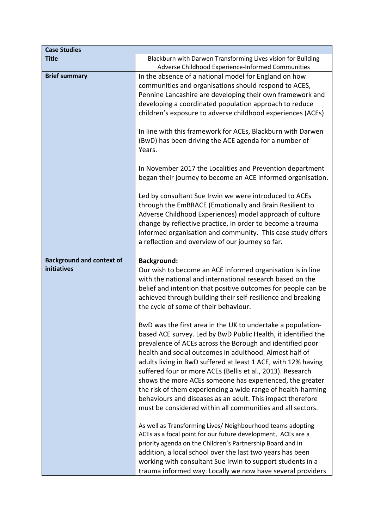| <b>Case Studies</b>              |                                                                                                                                                                                                                                                                                                                                                                                                                                                                                                                                                                                                                                             |
|----------------------------------|---------------------------------------------------------------------------------------------------------------------------------------------------------------------------------------------------------------------------------------------------------------------------------------------------------------------------------------------------------------------------------------------------------------------------------------------------------------------------------------------------------------------------------------------------------------------------------------------------------------------------------------------|
| <b>Title</b>                     | Blackburn with Darwen Transforming Lives vision for Building                                                                                                                                                                                                                                                                                                                                                                                                                                                                                                                                                                                |
|                                  | Adverse Childhood Experience-Informed Communities                                                                                                                                                                                                                                                                                                                                                                                                                                                                                                                                                                                           |
| <b>Brief summary</b>             | In the absence of a national model for England on how<br>communities and organisations should respond to ACES,<br>Pennine Lancashire are developing their own framework and<br>developing a coordinated population approach to reduce<br>children's exposure to adverse childhood experiences (ACEs).                                                                                                                                                                                                                                                                                                                                       |
|                                  | In line with this framework for ACEs, Blackburn with Darwen<br>(BwD) has been driving the ACE agenda for a number of<br>Years.                                                                                                                                                                                                                                                                                                                                                                                                                                                                                                              |
|                                  | In November 2017 the Localities and Prevention department<br>began their journey to become an ACE informed organisation.                                                                                                                                                                                                                                                                                                                                                                                                                                                                                                                    |
|                                  | Led by consultant Sue Irwin we were introduced to ACEs<br>through the EmBRACE (Emotionally and Brain Resilient to<br>Adverse Childhood Experiences) model approach of culture<br>change by reflective practice, in order to become a trauma<br>informed organisation and community. This case study offers<br>a reflection and overview of our journey so far.                                                                                                                                                                                                                                                                              |
| <b>Background and context of</b> | <b>Background:</b>                                                                                                                                                                                                                                                                                                                                                                                                                                                                                                                                                                                                                          |
| initiatives                      | Our wish to become an ACE informed organisation is in line<br>with the national and international research based on the<br>belief and intention that positive outcomes for people can be<br>achieved through building their self-resilience and breaking<br>the cycle of some of their behaviour.                                                                                                                                                                                                                                                                                                                                           |
|                                  | BwD was the first area in the UK to undertake a population-<br>based ACE survey. Led by BwD Public Health, it identified the<br>prevalence of ACEs across the Borough and identified poor<br>health and social outcomes in adulthood. Almost half of<br>adults living in BwD suffered at least 1 ACE, with 12% having<br>suffered four or more ACEs (Bellis et al., 2013). Research<br>shows the more ACEs someone has experienced, the greater<br>the risk of them experiencing a wide range of health-harming<br>behaviours and diseases as an adult. This impact therefore<br>must be considered within all communities and all sectors. |
|                                  | As well as Transforming Lives/ Neighbourhood teams adopting<br>ACEs as a focal point for our future development, ACEs are a<br>priority agenda on the Children's Partnership Board and in<br>addition, a local school over the last two years has been<br>working with consultant Sue Irwin to support students in a<br>trauma informed way. Locally we now have several providers                                                                                                                                                                                                                                                          |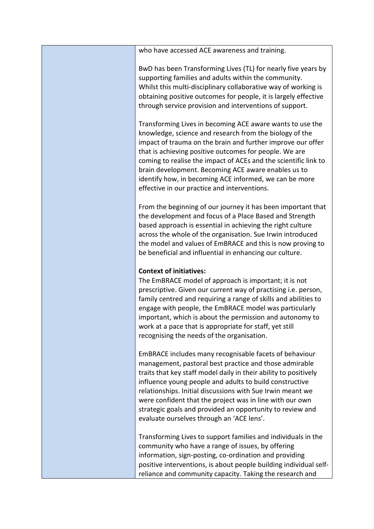| who have accessed ACE awareness and training.                                                                                                                                                                                                                                                                                                                                                                                                                                       |
|-------------------------------------------------------------------------------------------------------------------------------------------------------------------------------------------------------------------------------------------------------------------------------------------------------------------------------------------------------------------------------------------------------------------------------------------------------------------------------------|
| BwD has been Transforming Lives (TL) for nearly five years by<br>supporting families and adults within the community.<br>Whilst this multi-disciplinary collaborative way of working is<br>obtaining positive outcomes for people, it is largely effective<br>through service provision and interventions of support.                                                                                                                                                               |
| Transforming Lives in becoming ACE aware wants to use the<br>knowledge, science and research from the biology of the<br>impact of trauma on the brain and further improve our offer<br>that is achieving positive outcomes for people. We are<br>coming to realise the impact of ACEs and the scientific link to<br>brain development. Becoming ACE aware enables us to<br>identify how, in becoming ACE informed, we can be more<br>effective in our practice and interventions.   |
| From the beginning of our journey it has been important that<br>the development and focus of a Place Based and Strength<br>based approach is essential in achieving the right culture<br>across the whole of the organisation. Sue Irwin introduced<br>the model and values of EmBRACE and this is now proving to<br>be beneficial and influential in enhancing our culture.                                                                                                        |
| <b>Context of initiatives:</b><br>The EmBRACE model of approach is important; it is not<br>prescriptive. Given our current way of practising i.e. person,<br>family centred and requiring a range of skills and abilities to<br>engage with people, the EmBRACE model was particularly<br>important, which is about the permission and autonomy to<br>work at a pace that is appropriate for staff, yet still<br>recognising the needs of the organisation.                         |
| EmBRACE includes many recognisable facets of behaviour<br>management, pastoral best practice and those admirable<br>traits that key staff model daily in their ability to positively<br>influence young people and adults to build constructive<br>relationships. Initial discussions with Sue Irwin meant we<br>were confident that the project was in line with our own<br>strategic goals and provided an opportunity to review and<br>evaluate ourselves through an 'ACE lens'. |
| Transforming Lives to support families and individuals in the<br>community who have a range of issues, by offering<br>information, sign-posting, co-ordination and providing<br>positive interventions, is about people building individual self-<br>reliance and community capacity. Taking the research and                                                                                                                                                                       |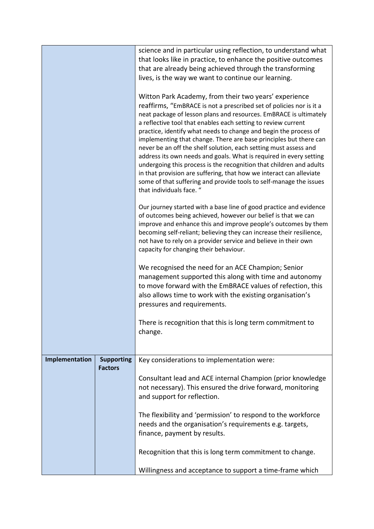|                |                                     | science and in particular using reflection, to understand what                                                                                                                                                                                                                                                                                   |
|----------------|-------------------------------------|--------------------------------------------------------------------------------------------------------------------------------------------------------------------------------------------------------------------------------------------------------------------------------------------------------------------------------------------------|
|                |                                     | that looks like in practice, to enhance the positive outcomes                                                                                                                                                                                                                                                                                    |
|                |                                     | that are already being achieved through the transforming                                                                                                                                                                                                                                                                                         |
|                |                                     | lives, is the way we want to continue our learning.                                                                                                                                                                                                                                                                                              |
|                |                                     | Witton Park Academy, from their two years' experience<br>reaffirms, "EmBRACE is not a prescribed set of policies nor is it a<br>neat package of lesson plans and resources. EmBRACE is ultimately                                                                                                                                                |
|                |                                     | a reflective tool that enables each setting to review current<br>practice, identify what needs to change and begin the process of<br>implementing that change. There are base principles but there can                                                                                                                                           |
|                |                                     | never be an off the shelf solution, each setting must assess and<br>address its own needs and goals. What is required in every setting<br>undergoing this process is the recognition that children and adults                                                                                                                                    |
|                |                                     | in that provision are suffering, that how we interact can alleviate<br>some of that suffering and provide tools to self-manage the issues<br>that individuals face. "                                                                                                                                                                            |
|                |                                     | Our journey started with a base line of good practice and evidence<br>of outcomes being achieved, however our belief is that we can<br>improve and enhance this and improve people's outcomes by them<br>becoming self-reliant; believing they can increase their resilience,<br>not have to rely on a provider service and believe in their own |
|                |                                     | capacity for changing their behaviour.                                                                                                                                                                                                                                                                                                           |
|                |                                     | We recognised the need for an ACE Champion; Senior<br>management supported this along with time and autonomy<br>to move forward with the EmBRACE values of refection, this<br>also allows time to work with the existing organisation's<br>pressures and requirements.                                                                           |
|                |                                     | There is recognition that this is long term commitment to<br>change.                                                                                                                                                                                                                                                                             |
|                |                                     |                                                                                                                                                                                                                                                                                                                                                  |
| Implementation | <b>Supporting</b><br><b>Factors</b> | Key considerations to implementation were:                                                                                                                                                                                                                                                                                                       |
|                |                                     | Consultant lead and ACE internal Champion (prior knowledge<br>not necessary). This ensured the drive forward, monitoring<br>and support for reflection.                                                                                                                                                                                          |
|                |                                     | The flexibility and 'permission' to respond to the workforce<br>needs and the organisation's requirements e.g. targets,<br>finance, payment by results.                                                                                                                                                                                          |
|                |                                     | Recognition that this is long term commitment to change.                                                                                                                                                                                                                                                                                         |
|                |                                     | Willingness and acceptance to support a time-frame which                                                                                                                                                                                                                                                                                         |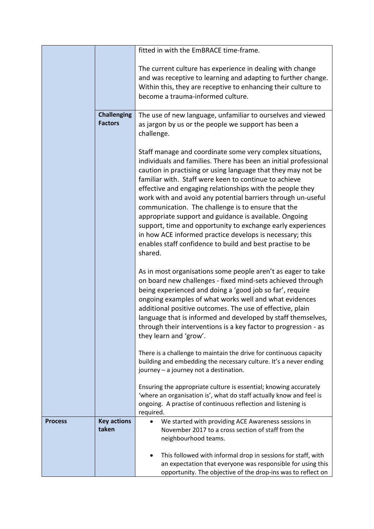|                |                             | fitted in with the EmBRACE time-frame.                                     |
|----------------|-----------------------------|----------------------------------------------------------------------------|
|                |                             | The current culture has experience in dealing with change                  |
|                |                             | and was receptive to learning and adapting to further change.              |
|                |                             | Within this, they are receptive to enhancing their culture to              |
|                |                             | become a trauma-informed culture.                                          |
|                |                             |                                                                            |
|                | <b>Challenging</b>          | The use of new language, unfamiliar to ourselves and viewed                |
|                | <b>Factors</b>              | as jargon by us or the people we support has been a                        |
|                |                             | challenge.                                                                 |
|                |                             |                                                                            |
|                |                             | Staff manage and coordinate some very complex situations,                  |
|                |                             | individuals and families. There has been an initial professional           |
|                |                             | caution in practising or using language that they may not be               |
|                |                             | familiar with. Staff were keen to continue to achieve                      |
|                |                             | effective and engaging relationships with the people they                  |
|                |                             | work with and avoid any potential barriers through un-useful               |
|                |                             | communication. The challenge is to ensure that the                         |
|                |                             | appropriate support and guidance is available. Ongoing                     |
|                |                             | support, time and opportunity to exchange early experiences                |
|                |                             | in how ACE informed practice develops is necessary; this                   |
|                |                             | enables staff confidence to build and best practise to be                  |
|                |                             | shared.                                                                    |
|                |                             |                                                                            |
|                |                             | As in most organisations some people aren't as eager to take               |
|                |                             | on board new challenges - fixed mind-sets achieved through                 |
|                |                             | being experienced and doing a 'good job so far', require                   |
|                |                             | ongoing examples of what works well and what evidences                     |
|                |                             | additional positive outcomes. The use of effective, plain                  |
|                |                             | language that is informed and developed by staff themselves,               |
|                |                             | through their interventions is a key factor to progression - as            |
|                |                             | they learn and 'grow'.                                                     |
|                |                             | There is a challenge to maintain the drive for continuous capacity         |
|                |                             | building and embedding the necessary culture. It's a never ending          |
|                |                             | journey - a journey not a destination.                                     |
|                |                             |                                                                            |
|                |                             | Ensuring the appropriate culture is essential; knowing accurately          |
|                |                             | 'where an organisation is', what do staff actually know and feel is        |
|                |                             | ongoing. A practise of continuous reflection and listening is              |
|                |                             | required.                                                                  |
| <b>Process</b> | <b>Key actions</b><br>taken | We started with providing ACE Awareness sessions in                        |
|                |                             | November 2017 to a cross section of staff from the<br>neighbourhood teams. |
|                |                             |                                                                            |
|                |                             | This followed with informal drop in sessions for staff, with               |
|                |                             | an expectation that everyone was responsible for using this                |
|                |                             | opportunity. The objective of the drop-ins was to reflect on               |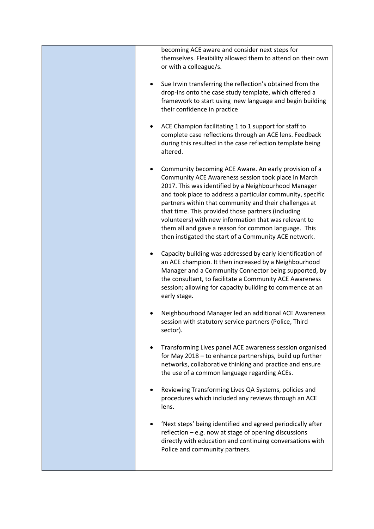| becoming ACE aware and consider next steps for<br>themselves. Flexibility allowed them to attend on their own<br>or with a colleague/s.                                                                                                                                                                                                                                                                                                                                                                                      |
|------------------------------------------------------------------------------------------------------------------------------------------------------------------------------------------------------------------------------------------------------------------------------------------------------------------------------------------------------------------------------------------------------------------------------------------------------------------------------------------------------------------------------|
| Sue Irwin transferring the reflection's obtained from the<br>$\bullet$<br>drop-ins onto the case study template, which offered a<br>framework to start using new language and begin building<br>their confidence in practice                                                                                                                                                                                                                                                                                                 |
| ACE Champion facilitating 1 to 1 support for staff to<br>complete case reflections through an ACE lens. Feedback<br>during this resulted in the case reflection template being<br>altered.                                                                                                                                                                                                                                                                                                                                   |
| Community becoming ACE Aware. An early provision of a<br>Community ACE Awareness session took place in March<br>2017. This was identified by a Neighbourhood Manager<br>and took place to address a particular community, specific<br>partners within that community and their challenges at<br>that time. This provided those partners (including<br>volunteers) with new information that was relevant to<br>them all and gave a reason for common language. This<br>then instigated the start of a Community ACE network. |
| Capacity building was addressed by early identification of<br>an ACE champion. It then increased by a Neighbourhood<br>Manager and a Community Connector being supported, by<br>the consultant, to facilitate a Community ACE Awareness<br>session; allowing for capacity building to commence at an<br>early stage.                                                                                                                                                                                                         |
| Neighbourhood Manager led an additional ACE Awareness<br>session with statutory service partners (Police, Third<br>sector).                                                                                                                                                                                                                                                                                                                                                                                                  |
| Transforming Lives panel ACE awareness session organised<br>for May 2018 - to enhance partnerships, build up further<br>networks, collaborative thinking and practice and ensure<br>the use of a common language regarding ACEs.                                                                                                                                                                                                                                                                                             |
| Reviewing Transforming Lives QA Systems, policies and<br>procedures which included any reviews through an ACE<br>lens.                                                                                                                                                                                                                                                                                                                                                                                                       |
| 'Next steps' being identified and agreed periodically after<br>reflection - e.g. now at stage of opening discussions<br>directly with education and continuing conversations with<br>Police and community partners.                                                                                                                                                                                                                                                                                                          |
|                                                                                                                                                                                                                                                                                                                                                                                                                                                                                                                              |